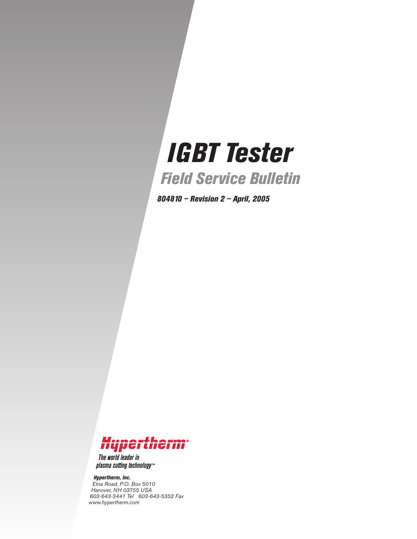# *IGBT Tester*

*Field Service Bulletin*

*804810 – Revision 2 – April, 2005*



The world leader in plasma cutting technology<sup>-1</sup>

*Hypertherm, Inc. Etna Road, P.O. Box 5010 Hanover, NH 03755 USA 603-643-3441 Tel 603-643-5352 Fax www.hypertherm.com*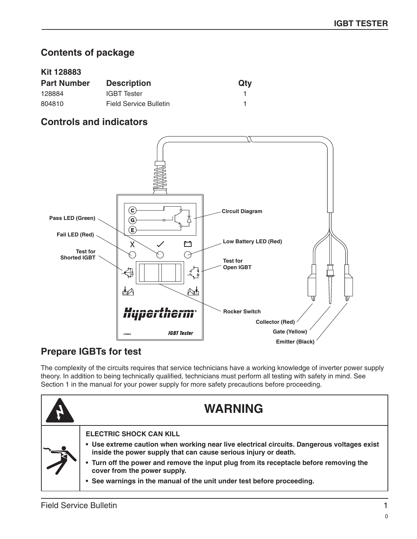## **Contents of package**

### **Kit 128883**

| <b>Part Number</b> | <b>Description</b>     | Qty |
|--------------------|------------------------|-----|
| 128884             | <b>IGBT</b> Tester     |     |
| 804810             | Field Service Bulletin |     |

## **Controls and indicators**



## **Prepare IGBTs for test**

The complexity of the circuits requires that service technicians have a working knowledge of inverter power supply theory. In addition to being technically qualified, technicians must perform all testing with safety in mind. See Section 1 in the manual for your power supply for more safety precautions before proceeding.

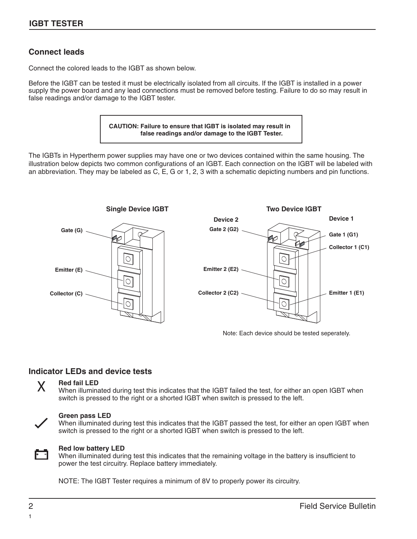## **Connect leads**

Connect the colored leads to the IGBT as shown below.

Before the IGBT can be tested it must be electrically isolated from all circuits. If the IGBT is installed in a power supply the power board and any lead connections must be removed before testing. Failure to do so may result in false readings and/or damage to the IGBT tester.



The IGBTs in Hypertherm power supplies may have one or two devices contained within the same housing. The illustration below depicts two common configurations of an IGBT. Each connection on the IGBT will be labeled with an abbreviation. They may be labeled as C, E, G or 1, 2, 3 with a schematic depicting numbers and pin functions.



Note: Each device should be tested seperately.

#### **Indicator LEDs and device tests**



#### **Red fail LED**

When illuminated during test this indicates that the IGBT failed the test, for either an open IGBT when switch is pressed to the right or a shorted IGBT when switch is pressed to the left.



#### **Green pass LED**

When illuminated during test this indicates that the IGBT passed the test, for either an open IGBT when switch is pressed to the right or a shorted IGBT when switch is pressed to the left.



#### **Red low battery LED**

When illuminated during test this indicates that the remaining voltage in the battery is insufficient to power the test circuitry. Replace battery immediately.

NOTE: The IGBT Tester requires a minimum of 8V to properly power its circuitry.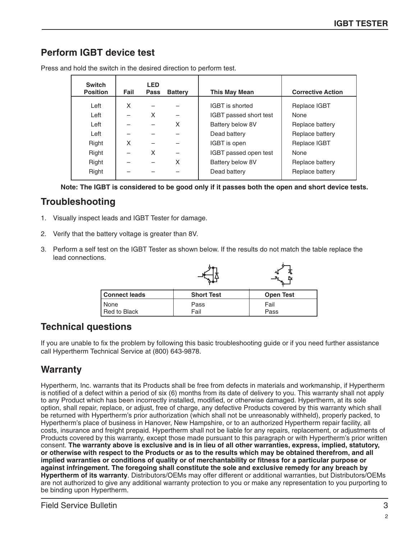# **Perform IGBT device test**

| <b>Switch</b><br><b>Position</b> | Fail | <b>LED</b><br><b>Pass</b> | <b>Battery</b> | <b>This May Mean</b>   | <b>Corrective Action</b> |
|----------------------------------|------|---------------------------|----------------|------------------------|--------------------------|
| Left                             | X    |                           |                | <b>IGBT</b> is shorted | Replace IGBT             |
| Left                             |      | X                         |                | IGBT passed short test | None                     |
| Left                             |      |                           | X              | Battery below 8V       | Replace battery          |
| Left                             |      |                           |                | Dead battery           | Replace battery          |
| Right                            | X    |                           |                | IGBT is open           | Replace IGBT             |
| Right                            |      | X                         |                | IGBT passed open test  | None                     |
| Right                            |      |                           | X              | Battery below 8V       | Replace battery          |
| Right                            |      |                           |                | Dead battery           | Replace battery          |

Press and hold the switch in the desired direction to perform test.

**Note: The IGBT is considered to be good only if it passes both the open and short device tests.**

## **Troubleshooting**

- 1. Visually inspect leads and IGBT Tester for damage.
- 2. Verify that the battery voltage is greater than 8V.
- 3. Perform a self test on the IGBT Tester as shown below. If the results do not match the table replace the lead connections.

|               |                   | ◚                |
|---------------|-------------------|------------------|
| Connect leads | <b>Short Test</b> | <b>Open Test</b> |
| None          | Pass              | Fail             |
| Red to Black  | Fail              | Pass             |

# **Technical questions**

If you are unable to fix the problem by following this basic troubleshooting guide or if you need further assistance call Hypertherm Technical Service at (800) 643-9878.

# **Warranty**

Hypertherm, Inc. warrants that its Products shall be free from defects in materials and workmanship, if Hypertherm is notified of a defect within a period of six (6) months from its date of delivery to you. This warranty shall not apply to any Product which has been incorrectly installed, modified, or otherwise damaged. Hypertherm, at its sole option, shall repair, replace, or adjust, free of charge, any defective Products covered by this warranty which shall be returned with Hypertherm's prior authorization (which shall not be unreasonably withheld), properly packed, to Hypertherm's place of business in Hanover, New Hampshire, or to an authorized Hypertherm repair facility, all costs, insurance and freight prepaid. Hypertherm shall not be liable for any repairs, replacement, or adjustments of Products covered by this warranty, except those made pursuant to this paragraph or with Hypertherm's prior written consent. **The warranty above is exclusive and is in lieu of all other warranties, express, implied, statutory, or otherwise with respect to the Products or as to the results which may be obtained therefrom, and all implied warranties or conditions of quality or of merchantability or fitness for a particular purpose or against infringement. The foregoing shall constitute the sole and exclusive remedy for any breach by Hypertherm of its warranty**. Distributors/OEMs may offer different or additional warranties, but Distributors/OEMs are not authorized to give any additional warranty protection to you or make any representation to you purporting to be binding upon Hypertherm.